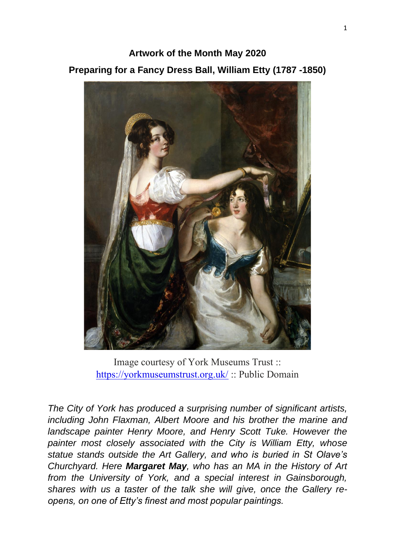**Artwork of the Month May 2020 Preparing for a Fancy Dress Ball, William Etty (1787 -1850)**



Image courtesy of York Museums Trust :: <https://yorkmuseumstrust.org.uk/> :: Public Domain

*The City of York has produced a surprising number of significant artists, including John Flaxman, Albert Moore and his brother the marine and*  landscape painter Henry Moore, and Henry Scott Tuke. However the *painter most closely associated with the City is William Etty, whose statue stands outside the Art Gallery, and who is buried in St Olave's Churchyard. Here Margaret May, who has an MA in the History of Art from the University of York, and a special interest in Gainsborough, shares with us a taster of the talk she will give, once the Gallery reopens, on one of Etty's finest and most popular paintings.*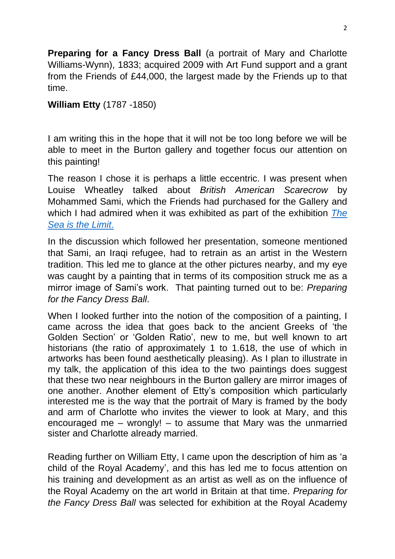**Preparing for a Fancy Dress Ball** (a portrait of Mary and Charlotte Williams-Wynn), 1833; acquired 2009 with Art Fund support and a grant from the Friends of £44,000, the largest made by the Friends up to that time.

## **William Etty** (1787 -1850)

I am writing this in the hope that it will not be too long before we will be able to meet in the Burton gallery and together focus our attention on this painting!

The reason I chose it is perhaps a little eccentric. I was present when Louise Wheatley talked about *British American Scarecrow* by Mohammed Sami, which the Friends had purchased for the Gallery and which I had admired when it was exhibited as part of the exhibition *[The](https://www.yorkpress.co.uk/news/17416316.york-art-gallery-adds-the-british-american-scarecrow-to-collection/)  [Sea is the Limit](https://www.yorkpress.co.uk/news/17416316.york-art-gallery-adds-the-british-american-scarecrow-to-collection/)*.

In the discussion which followed her presentation, someone mentioned that Sami, an Iraqi refugee, had to retrain as an artist in the Western tradition. This led me to glance at the other pictures nearby, and my eye was caught by a painting that in terms of its composition struck me as a mirror image of Sami's work. That painting turned out to be: *Preparing for the Fancy Dress Ball*.

When I looked further into the notion of the composition of a painting, I came across the idea that goes back to the ancient Greeks of 'the Golden Section' or 'Golden Ratio', new to me, but well known to art historians (the ratio of approximately 1 to 1.618, the use of which in artworks has been found aesthetically pleasing). As I plan to illustrate in my talk, the application of this idea to the two paintings does suggest that these two near neighbours in the Burton gallery are mirror images of one another. Another element of Etty's composition which particularly interested me is the way that the portrait of Mary is framed by the body and arm of Charlotte who invites the viewer to look at Mary, and this encouraged me – wrongly! – to assume that Mary was the unmarried sister and Charlotte already married.

Reading further on William Etty, I came upon the description of him as 'a child of the Royal Academy', and this has led me to focus attention on his training and development as an artist as well as on the influence of the Royal Academy on the art world in Britain at that time. *Preparing for the Fancy Dress Ball* was selected for exhibition at the Royal Academy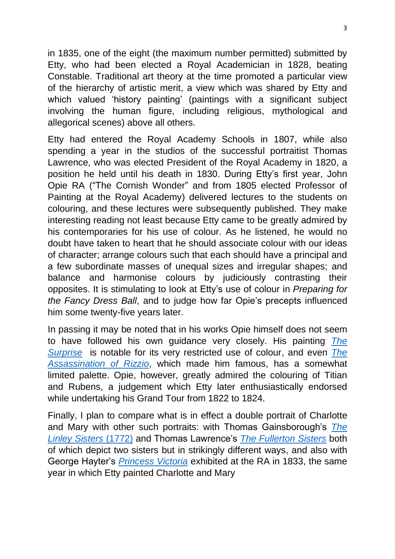in 1835, one of the eight (the maximum number permitted) submitted by Etty, who had been elected a Royal Academician in 1828, beating Constable. Traditional art theory at the time promoted a particular view of the hierarchy of artistic merit, a view which was shared by Etty and which valued 'history painting' (paintings with a significant subject involving the human figure, including religious, mythological and allegorical scenes) above all others.

Etty had entered the Royal Academy Schools in 1807, while also spending a year in the studios of the successful portraitist Thomas Lawrence, who was elected President of the Royal Academy in 1820, a position he held until his death in 1830. During Etty's first year, John Opie RA ("The Cornish Wonder" and from 1805 elected Professor of Painting at the Royal Academy) delivered lectures to the students on colouring, and these lectures were subsequently published. They make interesting reading not least because Etty came to be greatly admired by his contemporaries for his use of colour. As he listened, he would no doubt have taken to heart that he should associate colour with our ideas of character; arrange colours such that each should have a principal and a few subordinate masses of unequal sizes and irregular shapes; and balance and harmonise colours by judiciously contrasting their opposites. It is stimulating to look at Etty's use of colour in *Preparing for the Fancy Dress Ball*, and to judge how far Opie's precepts influenced him some twenty-five years later.

In passing it may be noted that in his works Opie himself does not seem to have followed his own guidance very closely. His painting *[The](https://artuk.org/discover/artworks/the-surprise-76743)  [Surprise](https://artuk.org/discover/artworks/the-surprise-76743)* is notable for its very restricted use of colour, and even *[The](https://artuk.org/discover/artworks/the-murder-of-rizzio-50907)  [Assassination of Rizzio](https://artuk.org/discover/artworks/the-murder-of-rizzio-50907)*, which made him famous, has a somewhat limited palette. Opie, however, greatly admired the colouring of Titian and Rubens, a judgement which Etty later enthusiastically endorsed while undertaking his Grand Tour from 1822 to 1824.

Finally, I plan to compare what is in effect a double portrait of Charlotte and Mary with other such portraits: with Thomas Gainsborough's *[The](https://www.dulwichpicturegallery.org.uk/explore-the-collection/301-350/elizabeth-and-mary-linley/)  [Linley Sisters](https://www.dulwichpicturegallery.org.uk/explore-the-collection/301-350/elizabeth-and-mary-linley/)* (1772) and Thomas Lawrence's *[The Fullerton Sisters](https://www.flickr.com/photos/eoskins/8087318216)* both of which depict two sisters but in strikingly different ways, and also with George Hayter's *[Princess Victoria](https://commons.wikimedia.org/wiki/File:Princess_Victoria_and_Dash_by_George_Hayter.jpg)* exhibited at the RA in 1833, the same year in which Etty painted Charlotte and Mary